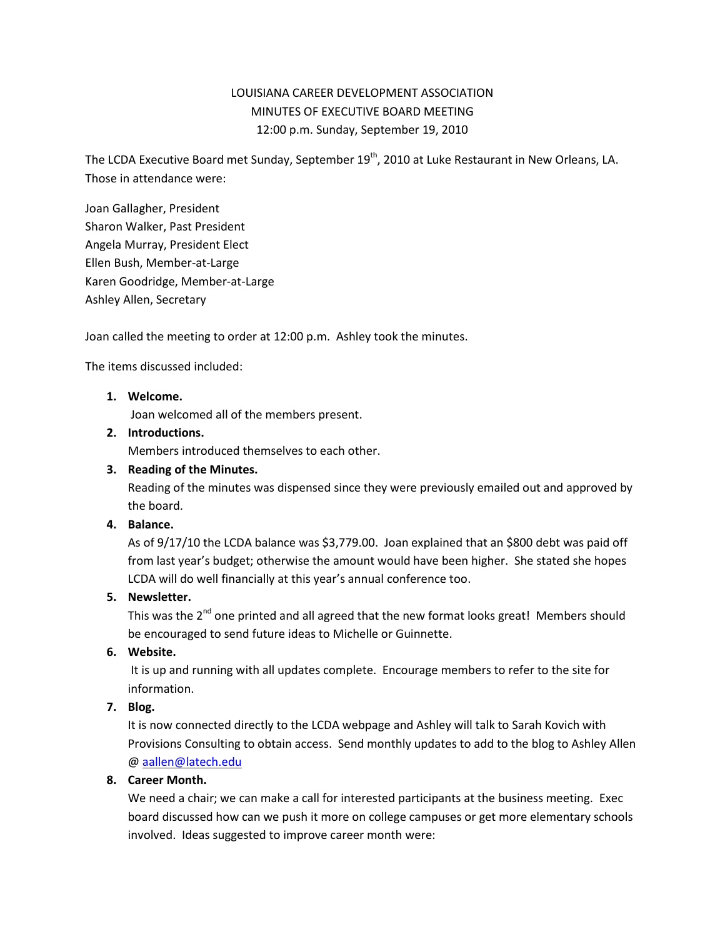# LOUISIANA CAREER DEVELOPMENT ASSOCIATION MINUTES OF EXECUTIVE BOARD MEETING 12:00 p.m. Sunday, September 19, 2010

The LCDA Executive Board met Sunday, September 19<sup>th</sup>, 2010 at Luke Restaurant in New Orleans, LA. Those in attendance were:

Joan Gallagher, President Sharon Walker, Past President Angela Murray, President Elect Ellen Bush, Member-at-Large Karen Goodridge, Member-at-Large Ashley Allen, Secretary

Joan called the meeting to order at 12:00 p.m. Ashley took the minutes.

The items discussed included:

# **1. Welcome.**

Joan welcomed all of the members present.

## **2. Introductions.**

Members introduced themselves to each other.

#### **3. Reading of the Minutes.**

Reading of the minutes was dispensed since they were previously emailed out and approved by the board.

# **4. Balance.**

As of 9/17/10 the LCDA balance was \$3,779.00.Joan explained that an \$800 debt was paid off from last year's budget; otherwise the amount would have been higher. She stated she hopes LCDA will do well financially at this year's annual conference too.

## **5. Newsletter.**

This was the  $2^{nd}$  one printed and all agreed that the new format looks great! Members should be encouraged to send future ideas to Michelle or Guinnette.

## **6. Website.**

It is up and running with all updates complete. Encourage members to refer to the site for information.

## **7. Blog.**

It is now connected directly to the LCDA webpage and Ashley will talk to Sarah Kovich with Provisions Consulting to obtain access. Send monthly updates to add to the blog to Ashley Allen @ [aallen@latech.edu](mailto:aallen@latech.edu)

## **8. Career Month.**

We need a chair; we can make a call for interested participants at the business meeting. Exec board discussed how can we push it more on college campuses or get more elementary schools involved. Ideas suggested to improve career month were: